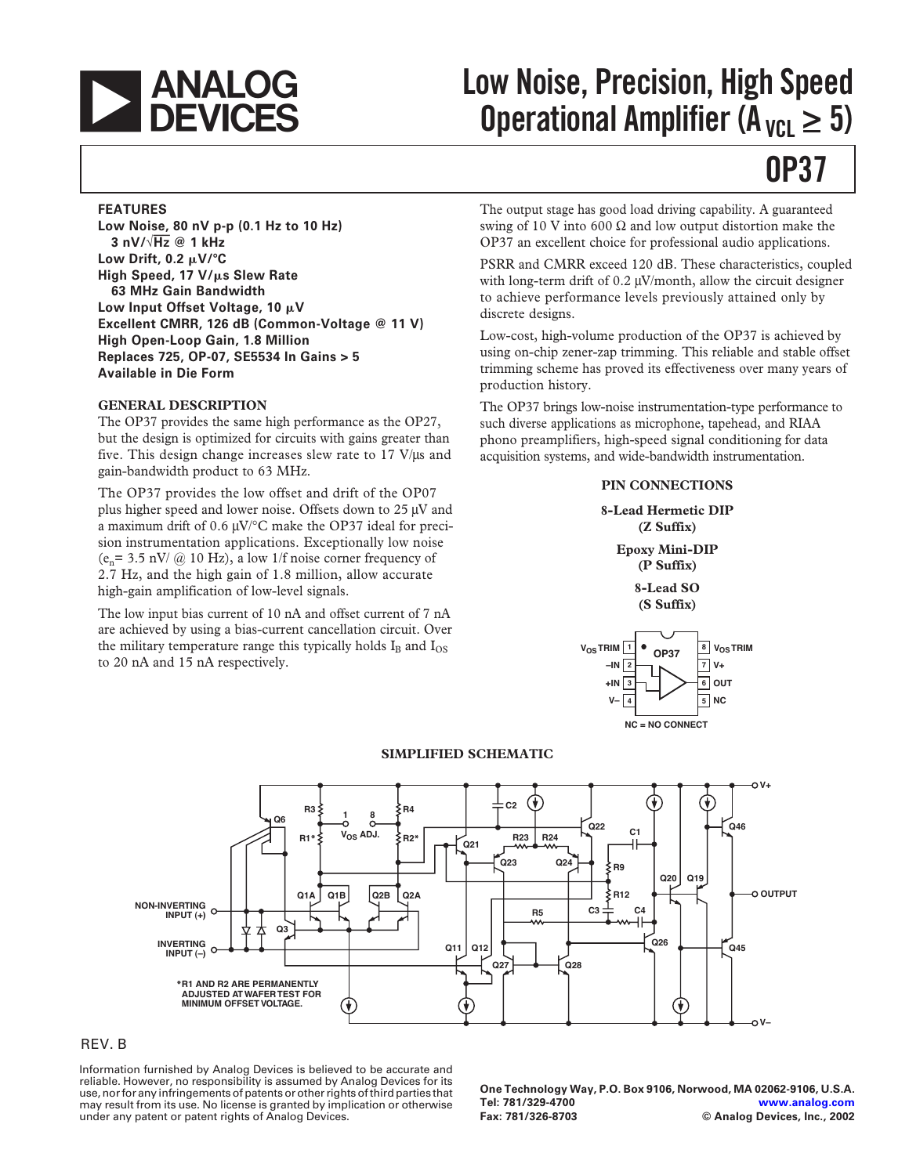

# **Low Noise, Precision, High Speed Operational Amplifier (A<sub>VCL</sub>**  $\geq$  **5)**

## **OP37**

#### **FEATURES**

**Low Noise, 80 nV p-p (0.1 Hz to 10 Hz) 3 nV/**÷**Hz @ 1 kHz Low Drift, 0.2 μV/°C High Speed, 17 V/s Slew Rate 63 MHz Gain Bandwidth Low Input Offset Voltage, 10 V Excellent CMRR, 126 dB (Common-Voltage @ 11 V) High Open-Loop Gain, 1.8 Million Replaces 725, OP-07, SE5534 In Gains > 5 Available in Die Form**

#### **GENERAL DESCRIPTION**

The OP37 provides the same high performance as the OP27, but the design is optimized for circuits with gains greater than five. This design change increases slew rate to  $17$  V/ $\mu$ s and gain-bandwidth product to 63 MHz.

The OP37 provides the low offset and drift of the OP07 plus higher speed and lower noise. Offsets down to  $25 \mu\text{V}$  and a maximum drift of 0.6  $\mu$ V/ $\degree$ C make the OP37 ideal for precision instrumentation applications. Exceptionally low noise (e<sub>n</sub>= 3.5 nV/  $@$  10 Hz), a low 1/f noise corner frequency of 2.7 Hz, and the high gain of 1.8 million, allow accurate high-gain amplification of low-level signals.

The low input bias current of 10 nA and offset current of 7 nA are achieved by using a bias-current cancellation circuit. Over the military temperature range this typically holds  $I_B$  and  $I_{OS}$ to 20 nA and 15 nA respectively.

The output stage has good load driving capability. A guaranteed swing of 10 V into 600  $\Omega$  and low output distortion make the OP37 an excellent choice for professional audio applications.

PSRR and CMRR exceed 120 dB. These characteristics, coupled with long-term drift of  $0.2 \mu V/m$  onth, allow the circuit designer to achieve performance levels previously attained only by discrete designs.

Low-cost, high-volume production of the OP37 is achieved by using on-chip zener-zap trimming. This reliable and stable offset trimming scheme has proved its effectiveness over many years of production history.

The OP37 brings low-noise instrumentation-type performance to such diverse applications as microphone, tapehead, and RIAA phono preamplifiers, high-speed signal conditioning for data acquisition systems, and wide-bandwidth instrumentation.

#### **PIN CONNECTIONS**

**8-Lead Hermetic DIP (Z Suffix) Epoxy Mini-DIP (P Suffix) 8-Lead SO (S Suffix)**





#### **SIMPLIFIED SCHEMATIC**

#### REV. B

Information furnished by Analog Devices is believed to be accurate and reliable. However, no responsibility is assumed by Analog Devices for its use, nor for any infringements of patents or other rights of third parties that may result from its use. No license is granted by implication or otherwise under any patent or patent rights of Analog Devices.

**One Technology Way, P.O. Box 9106, Norwood, MA 02062-9106, U.S.A. Tel: 781/329-4700 [www.analog.com](http://www.analog.com) Fax: 781/326-8703 © Analog Devices, Inc., 2002**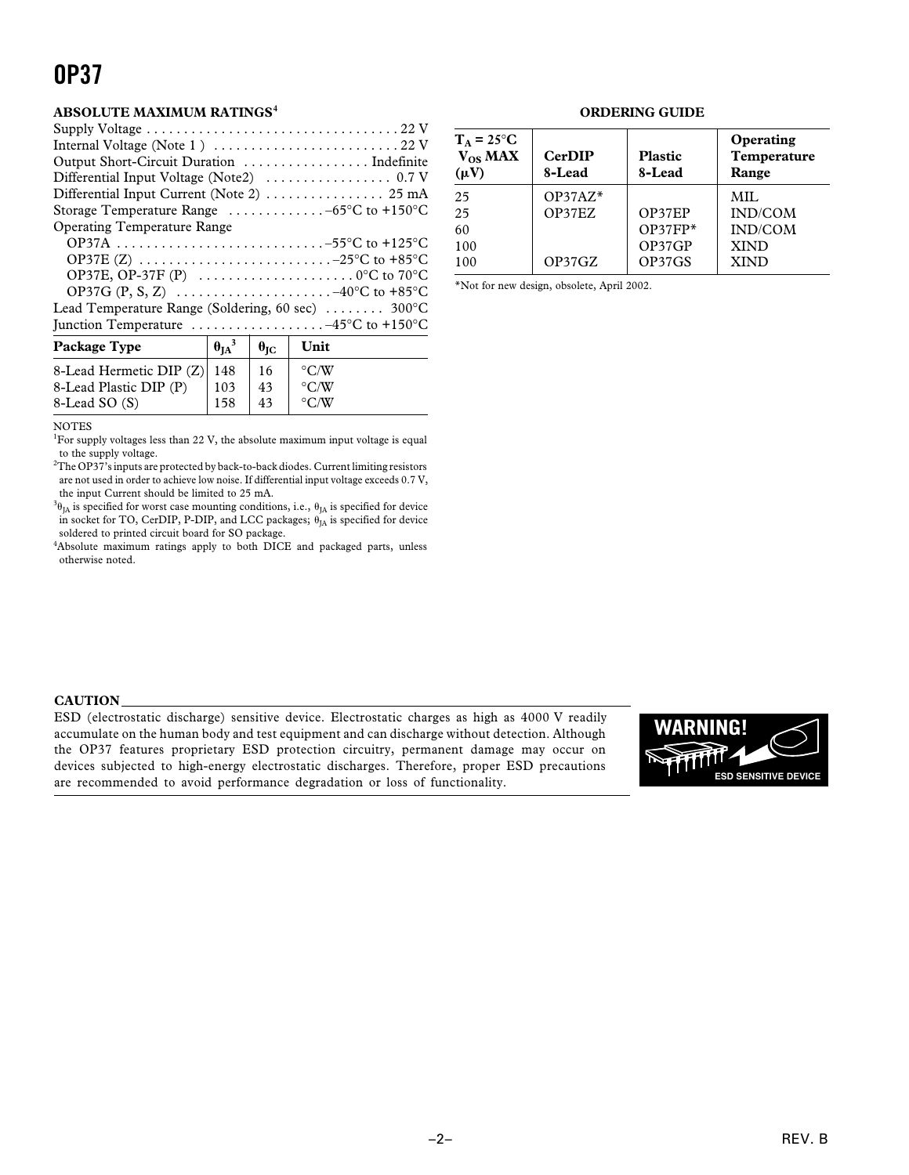#### **ABSOLUTE MAXIMUM RATINGS<sup>4</sup>**

| Package Type                | $\theta_{IA}{}^3$ | $\theta_{\rm IC}$ | Unit               |
|-----------------------------|-------------------|-------------------|--------------------|
| 8-Lead Hermetic DIP (Z) 148 |                   | 16                | $\rm ^{\circ}$ C/W |
| 8-Lead Plastic DIP (P)      | 103               | 43                | $\rm ^{\circ}$ C/W |
| 8-Lead SO (S)               | 158               | 43                | $\rm ^{\circ}$ C/W |

#### NOTES

<sup>1</sup>For supply voltages less than 22 V, the absolute maximum input voltage is equal to the supply voltage.

 $^{2}$ The OP37's inputs are protected by back-to-back diodes. Current limiting resistors are not used in order to achieve low noise. If differential input voltage exceeds 0.7 V, the input Current should be limited to 25 mA.

 $^{3}\theta_{JA}$  is specified for worst case mounting conditions, i.e.,  $\theta_{JA}$  is specified for device in socket for TO, CerDIP, P-DIP, and LCC packages;  $\theta_{IA}$  is specified for device soldered to printed circuit board for SO package.

<sup>4</sup>Absolute maximum ratings apply to both DICE and packaged parts, unless otherwise noted.

#### **ORDERING GUIDE**

| $T_A = 25^{\circ}C$<br>$V_{OS}$ MAX<br>$(\mu V)$ | <b>CerDIP</b><br>8-Lead | <b>Plastic</b><br>8-Lead | Operating<br>Temperature<br>Range |
|--------------------------------------------------|-------------------------|--------------------------|-----------------------------------|
| 25                                               | $OP37AZ*$               |                          | MIL.                              |
| 25                                               | OP37EZ                  | OP37EP                   | IND/COM                           |
| 60                                               |                         | $OP37FP*$                | IND/COM                           |
| 100                                              |                         | OP37GP                   | <b>XIND</b>                       |
| 100                                              | OP37GZ                  | OP37GS                   | <b>XIND</b>                       |

\*Not for new design, obsolete, April 2002.

#### **CAUTION**

ESD (electrostatic discharge) sensitive device. Electrostatic charges as high as 4000 V readily accumulate on the human body and test equipment and can discharge without detection. Although the OP37 features proprietary ESD protection circuitry, permanent damage may occur on devices subjected to high-energy electrostatic discharges. Therefore, proper ESD precautions are recommended to avoid performance degradation or loss of functionality.

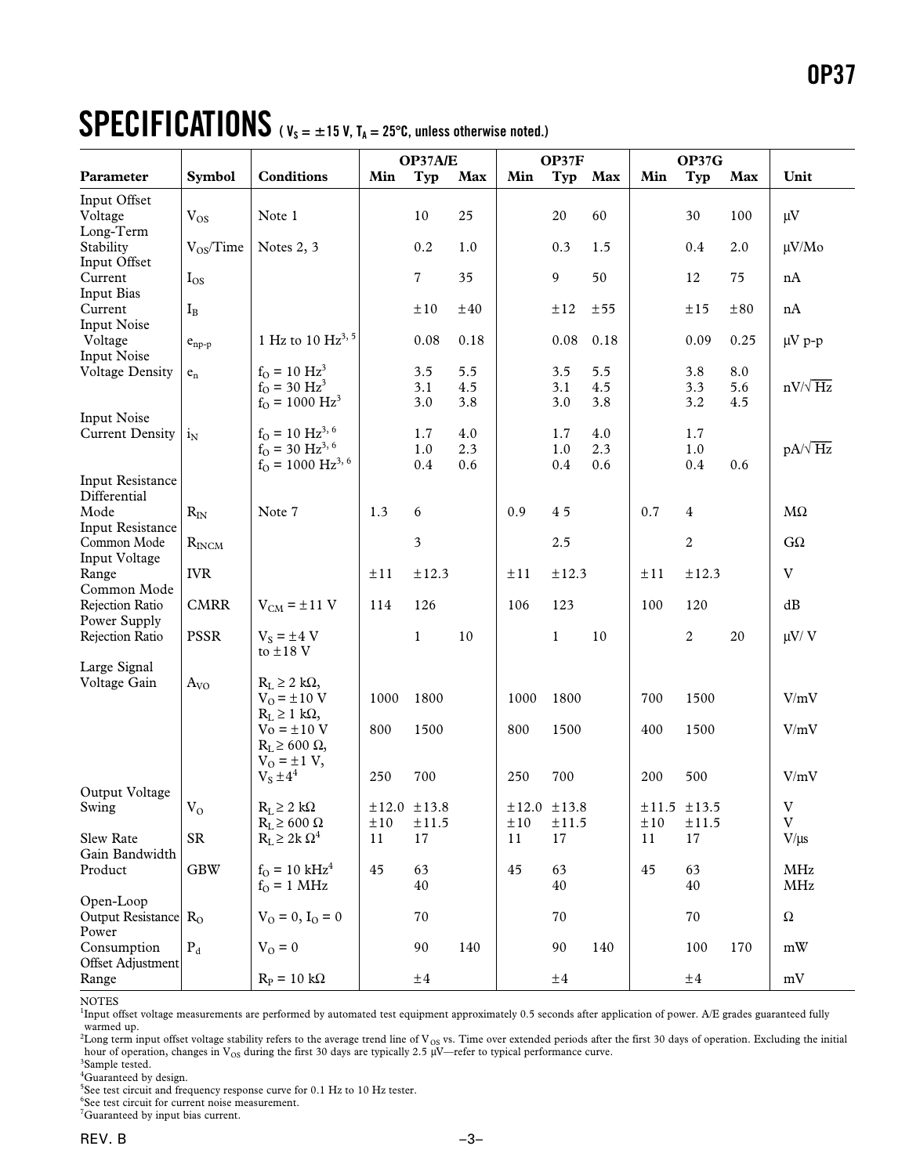# $\textbf{SPECIFICATIONS}$  ( $V_s = \pm 15$  V,  $T_A = 25^{\circ}$ C, unless otherwise noted.)

|                                               |                       |                                                                                                         |               | OP37A/E               |                   | OP37F       |                   | OP37G             |                |                   |                   |                                                               |
|-----------------------------------------------|-----------------------|---------------------------------------------------------------------------------------------------------|---------------|-----------------------|-------------------|-------------|-------------------|-------------------|----------------|-------------------|-------------------|---------------------------------------------------------------|
| Parameter                                     | <b>Symbol</b>         | <b>Conditions</b>                                                                                       | Min           | Typ                   | <b>Max</b>        | Min         | Typ               | Max               | Min            | Typ               | Max               | Unit                                                          |
| Input Offset<br>Voltage<br>Long-Term          | $V_{OS}$              | Note 1                                                                                                  |               | 10                    | 25                |             | 20                | 60                |                | 30                | 100               | $\mu V$                                                       |
| Stability<br>Input Offset                     | $V_{OS}/Time$         | Notes 2, 3                                                                                              |               | 0.2                   | 1.0               |             | 0.3               | 1.5               |                | 0.4               | 2.0               | $\mu V/Mo$                                                    |
| Current<br><b>Input Bias</b>                  | $I_{OS}$              |                                                                                                         |               | $\overline{7}$        | 35                |             | 9                 | 50                |                | 12                | 75                | $\ensuremath{\mathrm{nA}}$                                    |
| Current<br><b>Input Noise</b>                 | $I_B$                 |                                                                                                         |               | ±10                   | ±40               |             | ±12               | $\pm 55$          |                | ±15               | $\pm80$           | nA                                                            |
| Voltage<br><b>Input Noise</b>                 | $e_{\rm np\hbox{-}p}$ | 1 Hz to 10 Hz <sup>3, 5</sup>                                                                           |               | 0.08                  | 0.18              |             | 0.08              | 0.18              |                | 0.09              | 0.25              | $\mu V$ p-p                                                   |
| <b>Voltage Density</b>                        | $e_n$                 | $f_{O} = 10 \text{ Hz}^{3}$<br>$f_{O} = 30 \text{ Hz}^{3}$<br>$f_{\rm O} = 1000 \text{ Hz}^3$           |               | 3.5<br>3.1<br>3.0     | 5.5<br>4.5<br>3.8 |             | 3.5<br>3.1<br>3.0 | 5.5<br>4.5<br>3.8 |                | 3.8<br>3.3<br>3.2 | 8.0<br>5.6<br>4.5 | $nV/\sqrt{Hz}$                                                |
| <b>Input Noise</b><br><b>Current Density</b>  | $i_N$                 | $f_{O} = 10 \text{ Hz}^{3,6}$<br>$f_{O}$ = 30 Hz <sup>3, 6</sup><br>$f_{\rm O} = 1000 \text{ Hz}^{3,6}$ |               | 1.7<br>$1.0\,$<br>0.4 | 4.0<br>2.3<br>0.6 |             | 1.7<br>1.0<br>0.4 | 4.0<br>2.3<br>0.6 |                | 1.7<br>1.0<br>0.4 | 0.6               | $pA/\sqrt{Hz}$                                                |
| Input Resistance<br>Differential              |                       |                                                                                                         |               |                       |                   |             |                   |                   |                |                   |                   |                                                               |
| Mode<br><b>Input Resistance</b>               | $R_{\rm IN}$          | Note 7                                                                                                  | 1.3           | 6                     |                   | 0.9         | 45                |                   | 0.7            | $\overline{4}$    |                   | $M\Omega$                                                     |
| Common Mode<br>Input Voltage                  | $R_{INCM}$            |                                                                                                         |               | 3                     |                   |             | 2.5               |                   |                | $\boldsymbol{2}$  |                   | $G\Omega$                                                     |
| Range<br>Common Mode                          | <b>IVR</b>            |                                                                                                         | ±11           | ±12.3                 |                   | $\pm 11$    | ±12.3             |                   | ±11            | ±12.3             |                   | $\ensuremath{\mathbf{V}}$                                     |
| Rejection Ratio<br>Power Supply               | <b>CMRR</b>           | $V_{CM} = \pm 11$ V                                                                                     | 114           | 126                   |                   | 106         | 123               |                   | 100            | 120               |                   | dB                                                            |
| Rejection Ratio                               | <b>PSSR</b>           | $V_s = \pm 4 V$<br>to $\pm 18$ V                                                                        |               | $\mathbf{1}$          | 10                |             | $\mathbf{1}$      | $10\,$            |                | $\overline{c}$    | 20                | $\mu V / V$                                                   |
| Large Signal                                  |                       |                                                                                                         |               |                       |                   |             |                   |                   |                |                   |                   |                                                               |
| Voltage Gain                                  | $A_{VO}$              | $R_L \geq 2$ kΩ,<br>$V_0 = \pm 10$ V                                                                    | 1000          | 1800                  |                   | 1000        | 1800              |                   | 700            | 1500              |                   | V/mV                                                          |
|                                               |                       | $R_L \geq 1$ kΩ,<br>$Vo = \pm 10 V$<br>$R_L \geq 600 \Omega$                                            | 800           | 1500                  |                   | 800         | 1500              |                   | 400            | 1500              |                   | V/mV                                                          |
|                                               |                       | $V_0 = \pm 1 V$ ,<br>$V_S \pm 4^4$                                                                      | 250           | 700                   |                   | 250         | 700               |                   | 200            | 500               |                   | V/mV                                                          |
| Output Voltage<br>Swing                       | $V_{O}$               | $R_L \geq 2 k\Omega$                                                                                    |               | ±12.0 ±13.8           |                   | ±12.0 ±13.8 |                   |                   |                | ±11.5 ±13.5       |                   | $\ensuremath{\text{V}}$                                       |
| Slew Rate                                     | SR                    | $R_L \geq 600 \Omega$<br>$R_L \geq 2k \Omega^4$                                                         | $\pm10$<br>11 | ±11.5<br>17           |                   | ±10<br>11   | ±11.5<br>17       |                   | $\pm 10$<br>11 | $\pm 11.5$<br>17  |                   | $\mathbf{V}$<br>$V/\mu s$                                     |
| Gain Bandwidth<br>Product                     | <b>GBW</b>            | $f_{O} = 10 \text{ kHz}^{4}$<br>$f_{O} = 1 \text{ MHz}$                                                 | 45            | 63<br>40              |                   | 45          | 63<br>40          |                   | 45             | 63<br>40          |                   | $\rm{MHz}$<br>MHz                                             |
| Open-Loop<br>Output Resistance R <sub>O</sub> |                       | $V_O = 0, I_O = 0$                                                                                      |               | 70                    |                   |             | 70                |                   |                | 70                |                   | $\Omega$                                                      |
| Power<br>Consumption                          | $P_d$                 | $V_{O} = 0$                                                                                             |               | 90                    | 140               |             | 90                | 140               |                | 100               | 170               | $\ensuremath{\mathrm{m}}\xspace \ensuremath{\text{W}}\xspace$ |
| Offset Adjustment<br>Range                    |                       | $R_P = 10 k\Omega$                                                                                      |               | ±4                    |                   |             | $\pm 4$           |                   |                | $\pm 4$           |                   | $\rm mV$                                                      |

NOTES

<sup>1</sup>Input offset voltage measurements are performed by automated test equipment approximately 0.5 seconds after application of power. A/E grades guaranteed fully warmed up.

 $^2$ Long term input offset voltage stability refers to the average trend line of V<sub>OS</sub> vs. Time over extended periods after the first 30 days of operation. Excluding the initial hour of operation, changes in  $V_{OS}$  during the first 30 days are typically 2.5 µV—refer to typical performance curve.

<sup>3</sup>Sample tested. <sup>4</sup>Guaranteed by design.

<sup>5</sup>See test circuit and frequency response curve for 0.1 Hz to 10 Hz tester.

6 See test circuit for current noise measurement.

<sup>7</sup>Guaranteed by input bias current.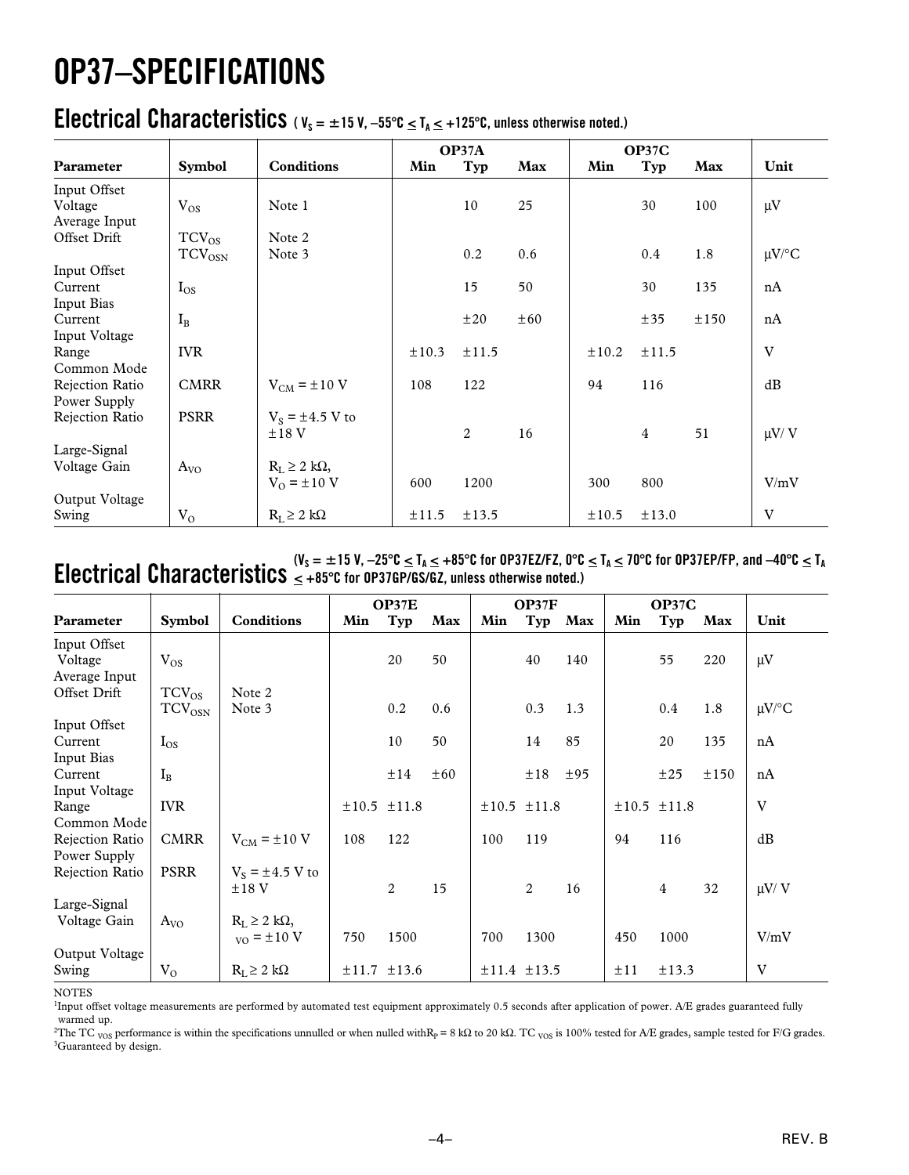# **OP37–SPECIFICATIONS**

### **Electrical Characteristics**  $(v_s = \pm 15 V, -55^{\circ}C \leq T_A \leq +125^{\circ}C,$  unless otherwise noted.)

|                 |                          |                        |            | OP37A |     | <b>OP37C</b> |                |      |            |
|-----------------|--------------------------|------------------------|------------|-------|-----|--------------|----------------|------|------------|
| Parameter       | <b>Symbol</b>            | Conditions             | Min        | Typ   | Max | Min          | Typ            | Max  | Unit       |
| Input Offset    |                          |                        |            |       |     |              |                |      |            |
| Voltage         | $V_{OS}$                 | Note 1                 |            | 10    | 25  |              | 30             | 100  | $\mu V$    |
| Average Input   |                          |                        |            |       |     |              |                |      |            |
| Offset Drift    | $TCV_{OS}$               | Note 2                 |            |       |     |              |                |      |            |
|                 | <b>TCV<sub>OSN</sub></b> | Note 3                 |            | 0.2   | 0.6 |              | 0.4            | 1.8  | $\mu$ V/°C |
| Input Offset    |                          |                        |            |       |     |              |                |      |            |
| Current         | $I_{OS}$                 |                        |            | 15    | 50  |              | 30             | 135  | nA         |
| Input Bias      |                          |                        |            |       |     |              |                |      |            |
| Current         | $I_{B}$                  |                        |            | ±20   | ±60 |              | ±35            | ±150 | nA         |
| Input Voltage   |                          |                        |            |       |     |              |                |      |            |
| Range           | <b>IVR</b>               |                        | $\pm 10.3$ | ±11.5 |     | $\pm 10.2$   | ±11.5          |      | V          |
| Common Mode     |                          |                        |            |       |     |              |                |      |            |
| Rejection Ratio | <b>CMRR</b>              | $V_{CM}$ = $\pm 10$ V  | 108        | 122   |     | 94           | 116            |      | dB         |
| Power Supply    |                          |                        |            |       |     |              |                |      |            |
| Rejection Ratio | <b>PSRR</b>              | $V_S = \pm 4.5$ V to   |            |       |     |              |                |      |            |
|                 |                          | $\pm 18$ V             |            | 2     | 16  |              | $\overline{4}$ | 51   | $\mu$ V/V  |
| Large-Signal    |                          |                        |            |       |     |              |                |      |            |
| Voltage Gain    | $A_{VQ}$                 | $R_L \geq 2 k\Omega$ , |            |       |     |              |                |      |            |
|                 |                          | $V_0 = \pm 10 V$       | 600        | 1200  |     | 300          | 800            |      | V/mV       |
| Output Voltage  |                          |                        |            |       |     |              |                |      |            |
| Swing           | $V_{O}$                  | $R_L \geq 2 k\Omega$   | ±11.5      | ±13.5 |     | ±10.5        | $\pm 13.0$     |      | V          |

#### **Electrical Characteristics**  $\leq$  +85 $\degree$ C for OP37EP/F2, 0<sup>o</sup>C in Crack of OP37EP/FP, and -40 $\degree$ C  $\leq$  T<sub>A</sub>  $\leq$  70 $\degree$ C for OP37EP/FP, and -40 $\degree$ C  $\leq$  T<sub>A</sub> **< +85**-**C for OP37GP/GS/GZ, unless otherwise noted.)**

|                         |               |                             |            | OP37E      |          |            | OP37F |     |     | OP37C          |      |            |
|-------------------------|---------------|-----------------------------|------------|------------|----------|------------|-------|-----|-----|----------------|------|------------|
| Parameter               | <b>Symbol</b> | <b>Conditions</b>           | Min        | Typ        | Max      | Min        | Typ   | Max | Min | Typ            | Max  | Unit       |
| Input Offset<br>Voltage | $V_{OS}$      |                             |            | 20         | 50       |            | 40    | 140 |     | 55             | 220  | $\mu$ V    |
| Average Input           |               |                             |            |            |          |            |       |     |     |                |      |            |
| Offset Drift            | $TCV_{OS}$    | Note 2                      |            |            |          |            |       |     |     |                |      |            |
|                         | $TCV_{OSN}$   | Note 3                      |            | 0.2        | 0.6      |            | 0.3   | 1.3 |     | 0.4            | 1.8  | $\mu$ V/°C |
| Input Offset            |               |                             |            |            |          |            |       |     |     |                |      |            |
| Current                 | $I_{OS}$      |                             |            | 10         | 50       |            | 14    | 85  |     | 20             | 135  | nA         |
| Input Bias              |               |                             |            |            |          |            |       |     |     |                |      |            |
| Current                 | $I_B$         |                             |            | ±14        | $\pm 60$ |            | ±18   | ±95 |     | ±25            | ±150 | nA         |
| Input Voltage           |               |                             |            |            |          |            |       |     |     |                |      |            |
| Range                   | <b>IVR</b>    |                             |            | ±10.5±11.8 |          | ±10.5±11.8 |       |     |     | ±10.5±11.8     |      | V          |
| Common Mode             |               |                             |            |            |          |            |       |     |     |                |      |            |
| Rejection Ratio         | <b>CMRR</b>   | $V_{CM}$ = $\pm 10$ V       | 108        | 122        |          | 100        | 119   |     | 94  | 116            |      | dB         |
| Power Supply            |               |                             |            |            |          |            |       |     |     |                |      |            |
| Rejection Ratio         | <b>PSRR</b>   | $V_s = \pm 4.5$ V to        |            |            |          |            |       |     |     |                |      |            |
|                         |               | $±18$ V                     |            | 2          | 15       |            | 2     | 16  |     | $\overline{4}$ | 32   | $\mu$ V/V  |
| Large-Signal            |               |                             |            |            |          |            |       |     |     |                |      |            |
| Voltage Gain            | $A_{VQ}$      | $R_L \geq 2 k\Omega$ ,      |            |            |          |            |       |     |     |                |      |            |
|                         |               | $_{\text{VO}}$ = $\pm 10$ V | 750        | 1500       |          | 700        | 1300  |     | 450 | 1000           |      | V/mV       |
| Output Voltage          |               |                             |            |            |          |            |       |     |     |                |      |            |
| Swing                   | $V_{O}$       | $R_L \geq 2 k\Omega$        | $\pm 11.7$ | $\pm 13.6$ |          | ±11.4±13.5 |       |     | ±11 | $\pm$ 13.3     |      | V          |

NOTES

<sup>1</sup>Input offset voltage measurements are performed by automated test equipment approximately 0.5 seconds after application of power. A/E grades guaranteed fully warmed up.

<sup>2</sup>The TC <sub>VOS</sub> performance is within the specifications unnulled or when nulled withR<sub>P</sub> = 8 kQ to 20 kQ. TC <sub>VOS</sub> is 100% tested for A/E grades, sample tested for F/G grades. <sup>3</sup>Guaranteed by design.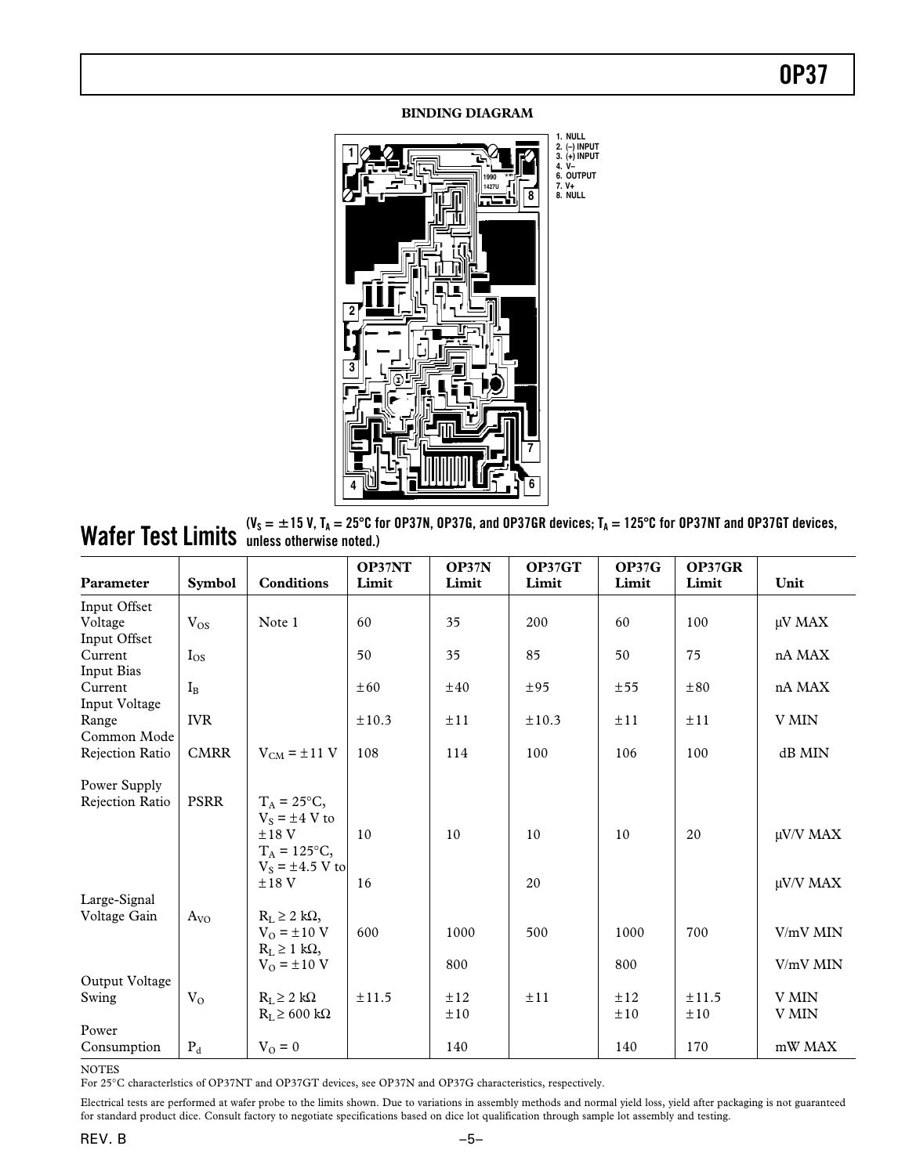#### **BINDING DIAGRAM**



 $\textbf{Wafter Test Limits}$  ( $\textbf{V}_\text{s} = \pm 15$  V, T<sub>A</sub> = 25°C for OP37N, OP37G, and OP37GR devices; T<sub>A</sub> = 125°C for OP37NT and OP37GT devices,<br> $\textbf{Wafter Test:}$ **unless otherwise noted.)**

| Parameter                               | <b>Symbol</b> | <b>Conditions</b>                                                              | OP37NT<br>Limit | OP37N<br>Limit | OP37GT<br>Limit | <b>OP37G</b><br>Limit | OP37GR<br>Limit | Unit                 |
|-----------------------------------------|---------------|--------------------------------------------------------------------------------|-----------------|----------------|-----------------|-----------------------|-----------------|----------------------|
| Input Offset<br>Voltage<br>Input Offset | $V_{OS}$      | Note 1                                                                         | 60              | 35             | 200             | 60                    | 100             | μV MAX               |
| Current<br><b>Input Bias</b>            | $I_{OS}$      |                                                                                | 50              | 35             | 85              | 50                    | 75              | nA MAX               |
| Current<br>Input Voltage                | $I_{B}$       |                                                                                | $\pm 60$        | $\pm 40$       | ±95             | ±55                   | $\pm 80$        | nA MAX               |
| Range<br>Common Mode                    | <b>IVR</b>    |                                                                                | $\pm 10.3$      | ±11            | $\pm 10.3$      | ±11                   | ±11             | V MIN                |
| Rejection Ratio                         | <b>CMRR</b>   | $V_{CM} = \pm 11$ V                                                            | 108             | 114            | 100             | 106                   | 100             | dB MIN               |
| Power Supply<br>Rejection Ratio         | <b>PSRR</b>   | $T_A = 25^{\circ}C$<br>$V_s = \pm 4$ V to<br>$±18$ V<br>$T_A = 125^{\circ}C$ , | 10              | 10             | 10              | 10                    | 20              | μV/V MAX             |
| Large-Signal                            |               | $V_s = \pm 4.5$ V to<br>$±18$ V                                                | 16              |                | 20              |                       |                 | μV/V MAX             |
| Voltage Gain                            | $A_{VO}$      | $R_L \geq 2$ kΩ,<br>$V_0 = \pm 10 V$<br>$R_L \geq 1$ kΩ,<br>$V_{O} = \pm 10 V$ | 600             | 1000<br>800    | 500             | 1000<br>800           | 700             | V/mV MIN<br>V/mV MIN |
| Output Voltage<br>Swing                 | $V_{O}$       | $R_L \geq 2 k\Omega$<br>$R_I \ge 600 \text{ k}\Omega$                          | ±11.5           | ±12<br>±10     | ±11             | ±12<br>±10            | ±11.5<br>±10    | V MIN<br>V MIN       |
| Power<br>Consumption                    | $P_d$         | $V_{O} = 0$                                                                    |                 | 140            |                 | 140                   | 170             | mW MAX               |

NOTES

For 25∞C characterlstics of OP37NT and OP37GT devices, see OP37N and OP37G characteristics, respectively.

Electrical tests are performed at wafer probe to the limits shown. Due to variations in assembly methods and normal yield loss, yield after packaging is not guaranteed for standard product dice. Consult factory to negotiate specifications based on dice lot qualification through sample lot assembly and testing.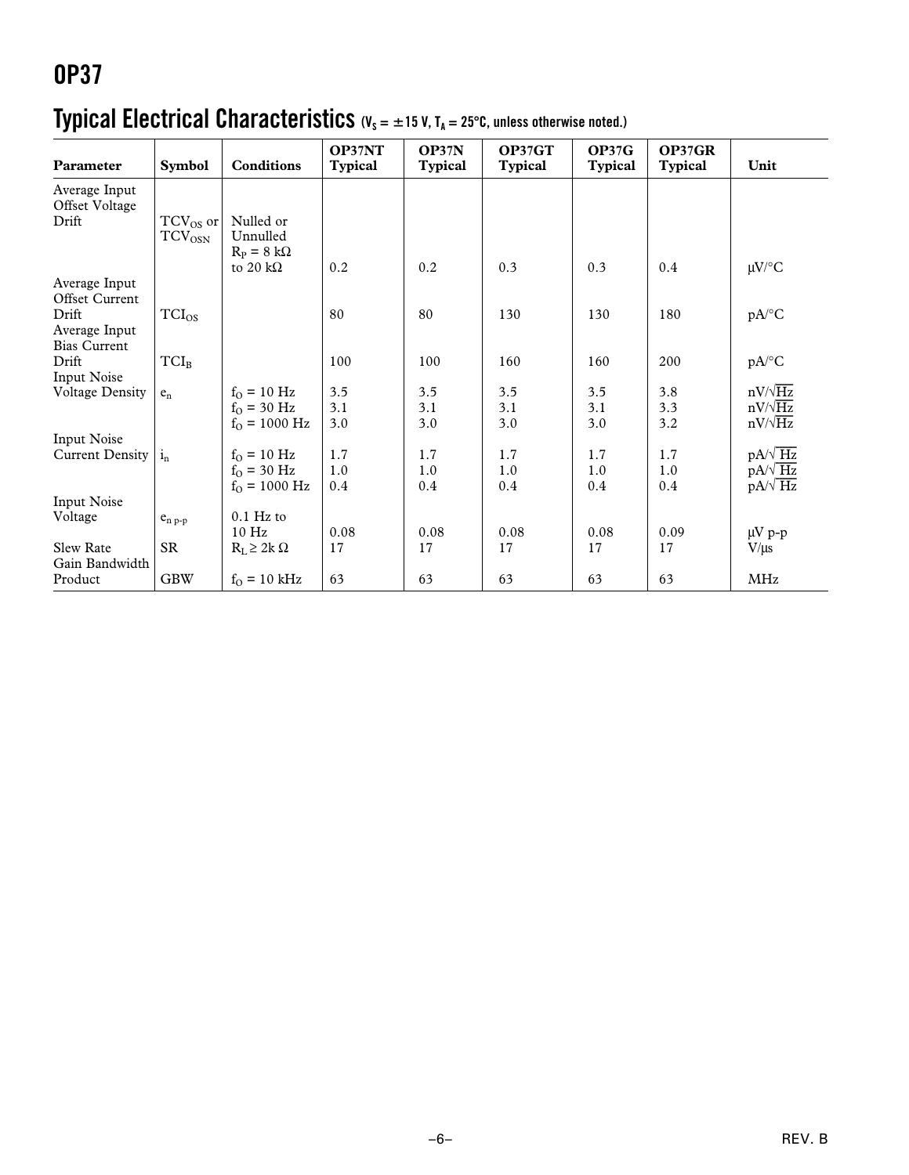### **Typical Electrical Characteristics** (V<sub>s</sub> = ±15 V, T<sub>A</sub> = 25°C, unless otherwise noted.)

| Parameter                          | <b>Symbol</b>                       | <b>Conditions</b>        | OP37NT<br><b>Typical</b> | OP37N<br><b>Typical</b> | OP37GT<br><b>Typical</b> | OP37G<br><b>Typical</b> | OP37GR<br><b>Typical</b> | Unit                |
|------------------------------------|-------------------------------------|--------------------------|--------------------------|-------------------------|--------------------------|-------------------------|--------------------------|---------------------|
| Average Input                      |                                     |                          |                          |                         |                          |                         |                          |                     |
| Offset Voltage                     |                                     |                          |                          |                         |                          |                         |                          |                     |
| Drift                              | TCV <sub>OS</sub> or<br>$TCV_{OSN}$ | Nulled or<br>Unnulled    |                          |                         |                          |                         |                          |                     |
|                                    |                                     | $R_P = 8 k\Omega$        | 0.2                      |                         |                          |                         | 0.4                      |                     |
| Average Input                      |                                     | to 20 k $\Omega$         |                          | 0.2                     | 0.3                      | 0.3                     |                          | $\mu$ V/°C          |
| Offset Current                     |                                     |                          |                          |                         |                          |                         |                          |                     |
| Drift                              | $TCI_{OS}$                          |                          | 80                       | 80                      | 130                      | 130                     | 180                      | $pA$ <sup>o</sup> C |
| Average Input                      |                                     |                          |                          |                         |                          |                         |                          |                     |
| <b>Bias Current</b>                |                                     |                          |                          |                         |                          |                         |                          |                     |
| Drift                              | $TCI_B$                             |                          | 100                      | 100                     | 160                      | 160                     | 200                      | $pA$ <sup>o</sup> C |
| Input Noise                        |                                     |                          |                          |                         |                          |                         |                          |                     |
| <b>Voltage Density</b>             | $e_n$                               | $f_{O} = 10$ Hz          | 3.5                      | 3.5                     | 3.5                      | 3.5                     | 3.8                      | $nV/\sqrt{Hz}$      |
|                                    |                                     | $f_{O} = 30$ Hz          | 3.1                      | 3.1                     | 3.1                      | 3.1                     | 3.3                      | $nV/\sqrt{Hz}$      |
|                                    |                                     | $f_{O} = 1000$ Hz        | 3.0                      | 3.0                     | 3.0                      | 3.0                     | 3.2                      | $nV/\sqrt{Hz}$      |
| Input Noise                        |                                     |                          |                          |                         |                          |                         |                          |                     |
| Current Density                    | $i_{n}$                             | $f_{O} = 10$ Hz          | 1.7                      | 1.7                     | 1.7                      | 1.7                     | 1.7                      | $pA/\sqrt{Hz}$      |
|                                    |                                     | $f_{O} = 30 \text{ Hz}$  | 1.0                      | 1.0                     | 1.0                      | 1.0                     | 1.0                      | $pA/\sqrt{Hz}$      |
|                                    |                                     | $f_{O} = 1000$ Hz        | 0.4                      | 0.4                     | 0.4                      | 0.4                     | 0.4                      | $pA/\sqrt{Hz}$      |
| <b>Input Noise</b>                 |                                     |                          |                          |                         |                          |                         |                          |                     |
| Voltage                            | $e_{n,p-p}$                         | $0.1$ Hz to              |                          |                         |                          |                         |                          |                     |
|                                    |                                     | 10 Hz                    | 0.08                     | 0.08                    | 0.08                     | 0.08                    | 0.09                     | $\mu V p$ -p        |
| <b>Slew Rate</b><br>Gain Bandwidth | <b>SR</b>                           | $R_L \geq 2k \Omega$     | 17                       | 17                      | 17                       | 17                      | 17                       | $V/\mu s$           |
| Product                            | <b>GBW</b>                          | $f_{O} = 10 \text{ kHz}$ | 63                       | 63                      | 63                       | 63                      | 63                       | MHz                 |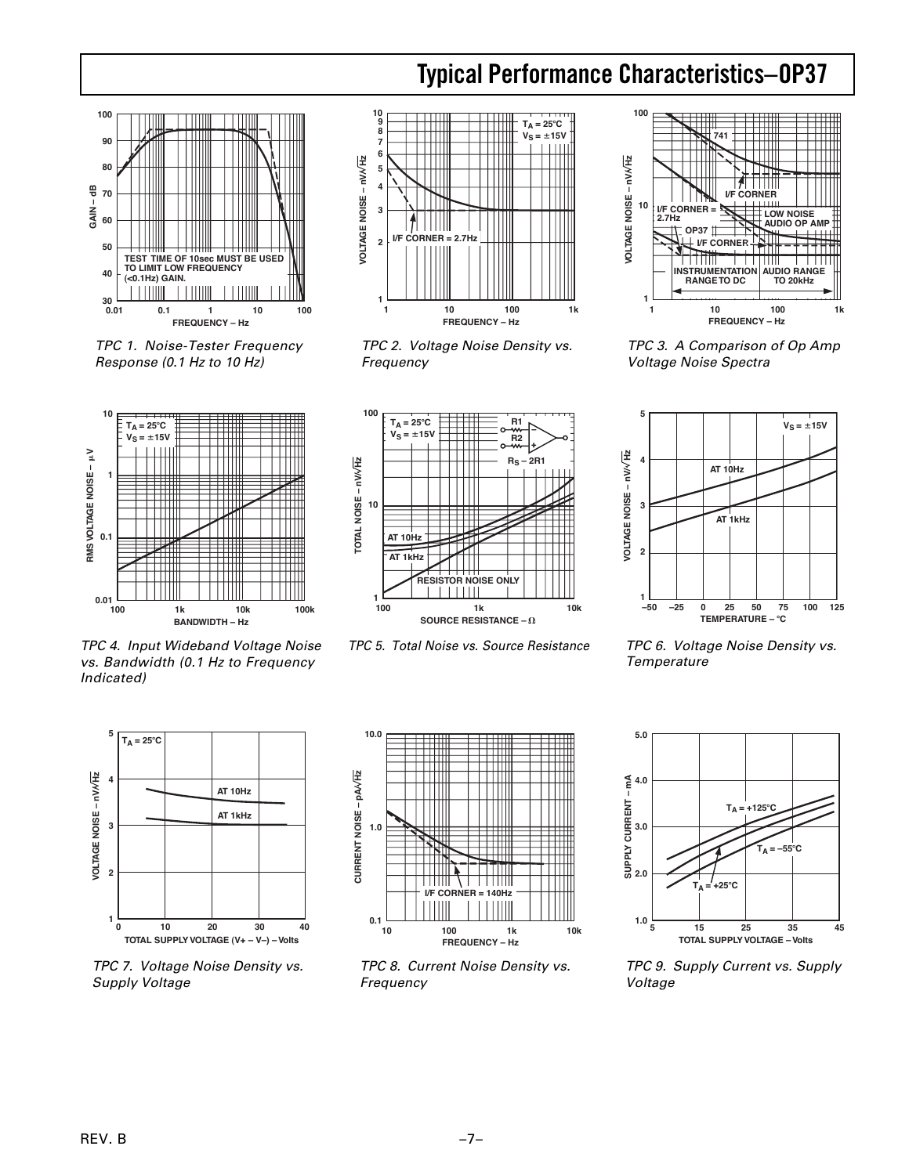### **OP37 Typical Performance Characteristics–**



TPC 1. Noise-Tester Frequency Response (0.1 Hz to 10 Hz)



TPC 4. Input Wideband Voltage Noise vs. Bandwidth (0.1 Hz to Frequency Indicated)



TPC 2. Voltage Noise Density vs. Frequency



TPC 5. Total Noise vs. Source Resistance



TPC 3. A Comparison of Op Amp Voltage Noise Spectra



TPC 6. Voltage Noise Density vs. **Temperature** 



TPC 7. Voltage Noise Density vs. Supply Voltage



TPC 8. Current Noise Density vs. Frequency



TPC 9. Supply Current vs. Supply Voltage

**BANDWIDTH – Hz**

RMS VOLTAGE NOISE - µV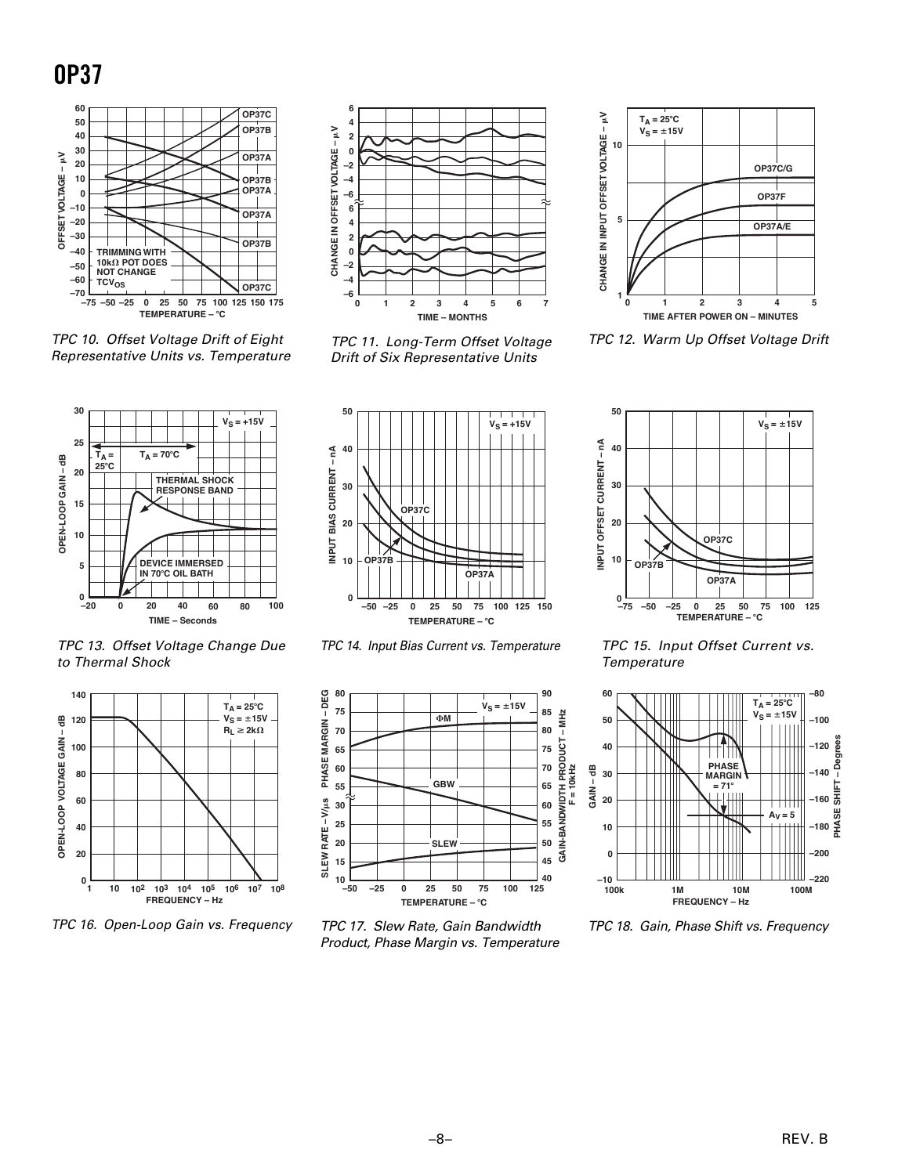

TPC 10. Offset Voltage Drift of Eight Representative Units vs. Temperature





TPC 11. Long-Term Offset Voltage Drift of Six Representative Units



TPC 12. Warm Up Offset Voltage Drift



TPC 14. Input Bias Current vs. Temperature



TPC 17. Slew Rate, Gain Bandwidth Product, Phase Margin vs. Temperature



TPC 15. Input Offset Current vs. **Temperature** 



TPC 18. Gain, Phase Shift vs. Frequency





TPC 16. Open-Loop Gain vs. Frequency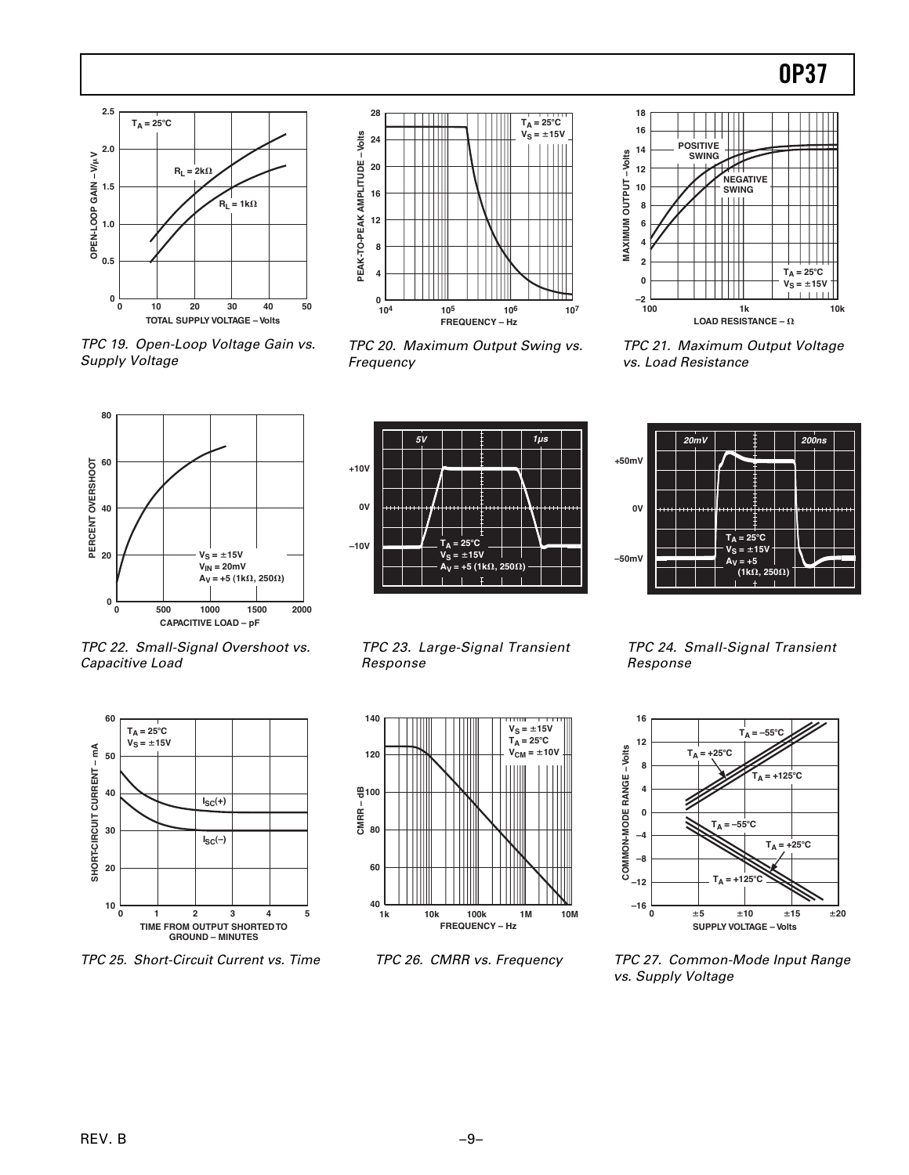

TPC 19. Open-Loop Voltage Gain vs. Supply Voltage



TPC 20. Maximum Output Swing vs. Frequency





TPC 23. Large-Signal Transient Response



TPC 26. CMRR vs. Frequency



TPC 21. Maximum Output Voltage vs. Load Resistance



TPC 24. Small-Signal Transient Response



TPC 27. Common-Mode Input Range vs. Supply Voltage

TPC 22. Small-Signal Overshoot vs. Capacitive Load



TPC 25. Short-Circuit Current vs. Time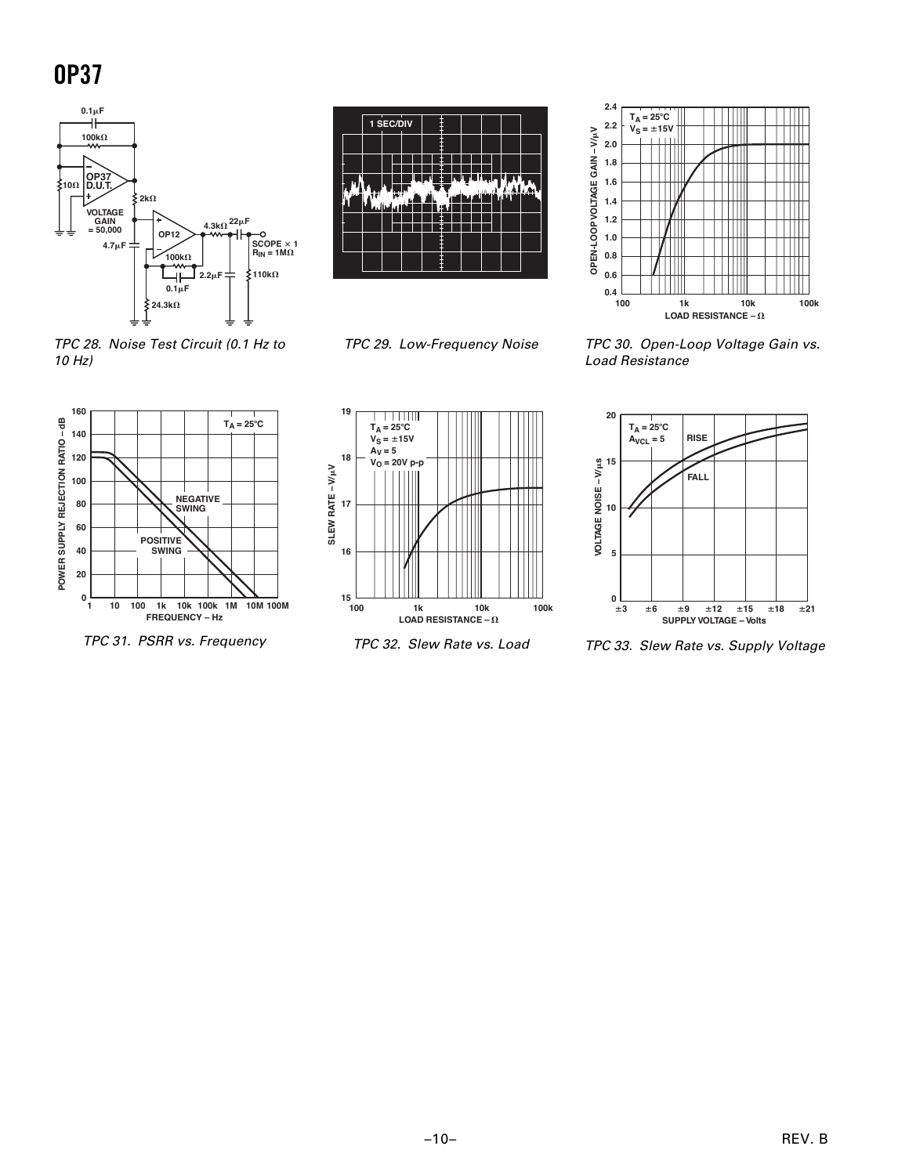**OP37**



TPC 28. Noise Test Circuit (0.1 Hz to 10 Hz)



TPC 29. Low-Frequency Noise



TPC 30. Open-Loop Voltage Gain vs. Load Resistance



TPC 31. PSRR vs. Frequency



TPC 32. Slew Rate vs. Load



TPC 33. Slew Rate vs. Supply Voltage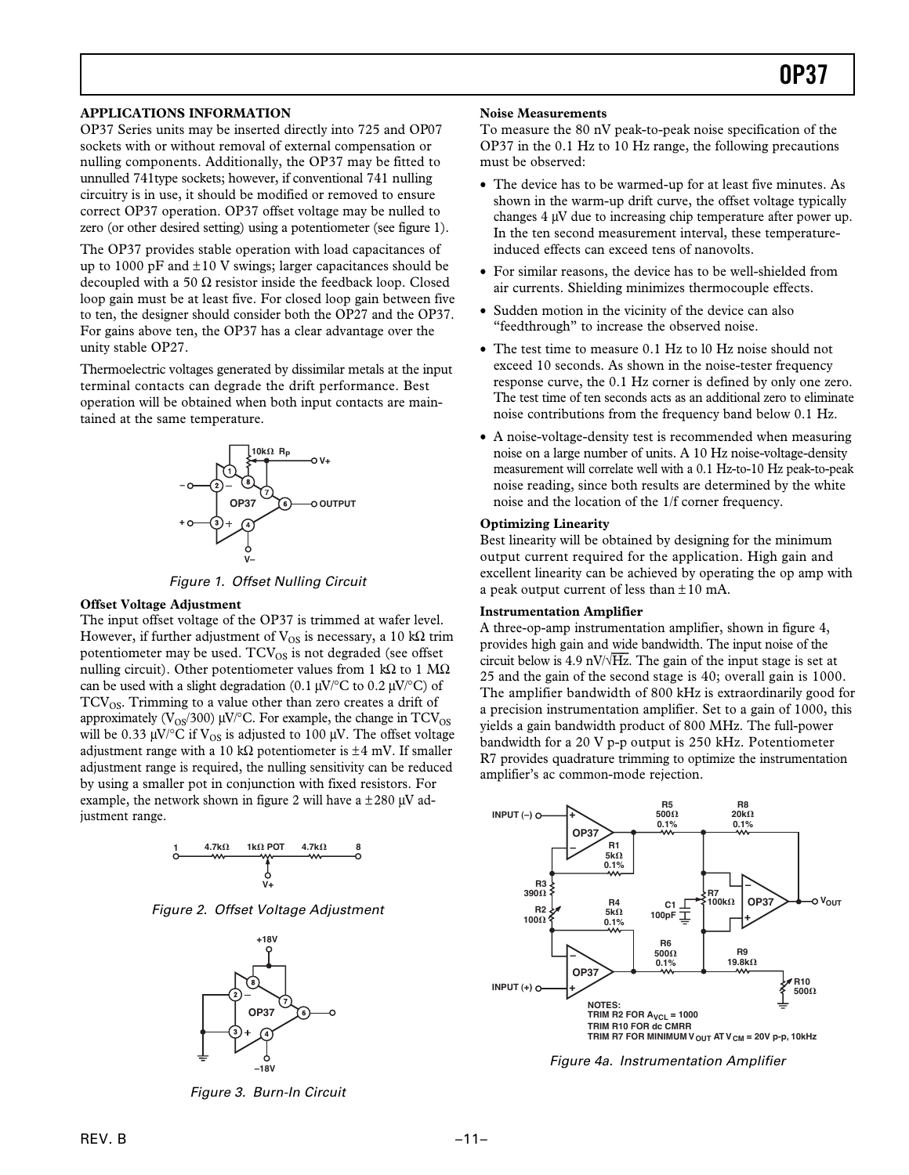#### **APPLICATIONS INFORMATION**

OP37 Series units may be inserted directly into 725 and OP07 sockets with or without removal of external compensation or nulling components. Additionally, the OP37 may be fitted to unnulled 741type sockets; however, if conventional 741 nulling circuitry is in use, it should be modified or removed to ensure correct OP37 operation. OP37 offset voltage may be nulled to zero (or other desired setting) using a potentiometer (see figure 1).

The OP37 provides stable operation with load capacitances of up to 1000 pF and  $\pm 10$  V swings; larger capacitances should be decoupled with a 50  $\Omega$  resistor inside the feedback loop. Closed loop gain must be at least five. For closed loop gain between five to ten, the designer should consider both the OP27 and the OP37. For gains above ten, the OP37 has a clear advantage over the unity stable OP27.

Thermoelectric voltages generated by dissimilar metals at the input terminal contacts can degrade the drift performance. Best operation will be obtained when both input contacts are maintained at the same temperature.



Figure 1. Offset Nulling Circuit

#### **Offset Voltage Adjustment**

The input offset voltage of the OP37 is trimmed at wafer level. However, if further adjustment of  $V_{OS}$  is necessary, a 10 k $\Omega$  trim potentiometer may be used.  $TCV_{OS}$  is not degraded (see offset nulling circuit). Other potentiometer values from 1 kQ to 1  $\text{M}\Omega$ can be used with a slight degradation (0.1  $\mu$ V/ $\degree$ C to 0.2  $\mu$ V/ $\degree$ C) of  $TCV_{OS}$ . Trimming to a value other than zero creates a drift of approximately ( $V_{OS}/300$ ) µV/ $\degree$ C. For example, the change in TCV<sub>OS</sub> will be 0.33  $\mu$ V/ $\rm ^{\circ}C$  if V<sub>OS</sub> is adjusted to 100  $\mu$ V. The offset voltage adjustment range with a 10 k $\Omega$  potentiometer is  $\pm 4$  mV. If smaller adjustment range is required, the nulling sensitivity can be reduced by using a smaller pot in conjunction with fixed resistors. For example, the network shown in figure 2 will have a  $\pm 280$  µV adjustment range.



Figure 2. Offset Voltage Adjustment



Figure 3. Burn-In Circuit

#### **Noise Measurements**

To measure the 80 nV peak-to-peak noise specification of the OP37 in the 0.1 Hz to 10 Hz range, the following precautions must be observed:

- ∑ The device has to be warmed-up for at least five minutes. As shown in the warm-up drift curve, the offset voltage typically changes 4 µV due to increasing chip temperature after power up. In the ten second measurement interval, these temperatureinduced effects can exceed tens of nanovolts.
- ∑ For similar reasons, the device has to be well-shielded from air currents. Shielding minimizes thermocouple effects.
- Sudden motion in the vicinity of the device can also "feedthrough" to increase the observed noise.
- The test time to measure 0.1 Hz to 10 Hz noise should not exceed 10 seconds. As shown in the noise-tester frequency response curve, the 0.1 Hz corner is defined by only one zero. The test time of ten seconds acts as an additional zero to eliminate noise contributions from the frequency band below 0.1 Hz.
- A noise-voltage-density test is recommended when measuring noise on a large number of units. A 10 Hz noise-voltage-density measurement will correlate well with a 0.1 Hz-to-10 Hz peak-to-peak noise reading, since both results are determined by the white noise and the location of the 1/f corner frequency.

#### **Optimizing Linearity**

Best linearity will be obtained by designing for the minimum output current required for the application. High gain and excellent linearity can be achieved by operating the op amp with a peak output current of less than  $\pm 10$  mA.

#### **Instrumentation Amplifier**

A three-op-amp instrumentation amplifier, shown in figure 4, provides high gain and wide bandwidth. The input noise of the circuit below is 4.9 nV/ $\sqrt{Hz}$ . The gain of the input stage is set at 25 and the gain of the second stage is 40; overall gain is 1000. The amplifier bandwidth of 800 kHz is extraordinarily good for a precision instrumentation amplifier. Set to a gain of 1000, this yields a gain bandwidth product of 800 MHz. The full-power bandwidth for a 20 V p-p output is 250 kHz. Potentiometer R7 provides quadrature trimming to optimize the instrumentation amplifier's ac common-mode rejection.



Figure 4a. Instrumentation Amplifier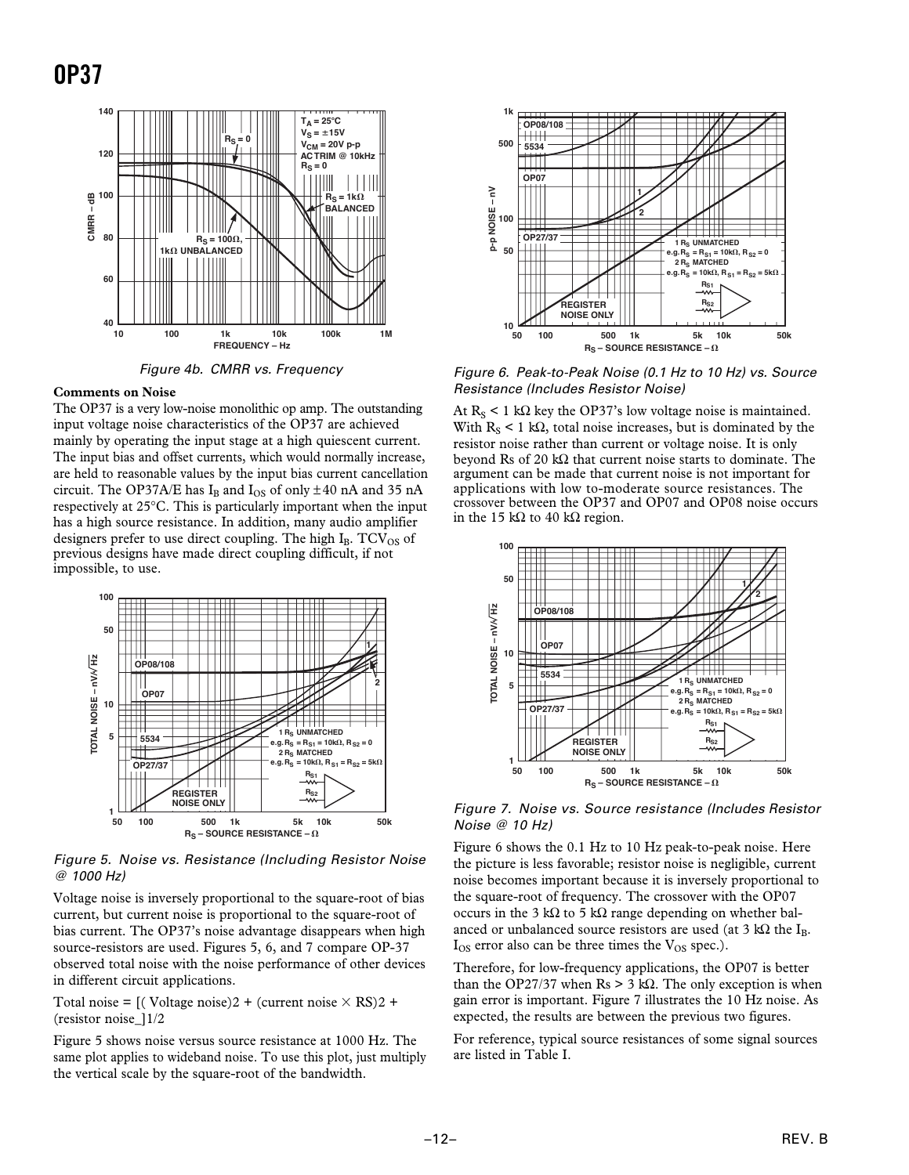



#### **Comments on Noise**

The OP37 is a very low-noise monolithic op amp. The outstanding input voltage noise characteristics of the OP37 are achieved mainly by operating the input stage at a high quiescent current. The input bias and offset currents, which would normally increase, are held to reasonable values by the input bias current cancellation circuit. The OP37A/E has  $I_B$  and  $I_{OS}$  of only  $\pm 40$  nA and 35 nA respectively at 25∞C. This is particularly important when the input has a high source resistance. In addition, many audio amplifier designers prefer to use direct coupling. The high  $I_B$ . TCV<sub>OS</sub> of previous designs have made direct coupling difficult, if not impossible, to use.



Figure 5. Noise vs. Resistance (Including Resistor Noise @ 1000 Hz)

Voltage noise is inversely proportional to the square-root of bias current, but current noise is proportional to the square-root of bias current. The OP37's noise advantage disappears when high source-resistors are used. Figures 5, 6, and 7 compare OP-37 observed total noise with the noise performance of other devices in different circuit applications.

Total noise = [(Voltage noise)2 + (current noise  $\times$  RS)2 + (resistor noise\_]1/2

Figure 5 shows noise versus source resistance at 1000 Hz. The same plot applies to wideband noise. To use this plot, just multiply the vertical scale by the square-root of the bandwidth.



Figure 6. Peak-to-Peak Noise (0.1 Hz to 10 Hz) vs. Source Resistance (Includes Resistor Noise)

At  $R_S$  < 1 k $\Omega$  key the OP37's low voltage noise is maintained. With  $R_s < 1$  k $\Omega$ , total noise increases, but is dominated by the resistor noise rather than current or voltage noise. It is only beyond Rs of 20 k $\Omega$  that current noise starts to dominate. The argument can be made that current noise is not important for applications with low to-moderate source resistances. The crossover between the OP37 and OP07 and OP08 noise occurs in the 15 k $\Omega$  to 40 k $\Omega$  region.



Figure 7. Noise vs. Source resistance (Includes Resistor Noise @ 10 Hz)

Figure 6 shows the 0.1 Hz to 10 Hz peak-to-peak noise. Here the picture is less favorable; resistor noise is negligible, current noise becomes important because it is inversely proportional to the square-root of frequency. The crossover with the OP07 occurs in the 3 k $\Omega$  to 5 k $\Omega$  range depending on whether balanced or unbalanced source resistors are used (at 3 k $\Omega$  the I<sub>B</sub>.  $I_{OS}$  error also can be three times the  $V_{OS}$  spec.).

Therefore, for low-frequency applications, the OP07 is better than the OP27/37 when  $\text{Rs} > 3 \text{ k}\Omega$ . The only exception is when gain error is important. Figure 7 illustrates the 10 Hz noise. As expected, the results are between the previous two figures.

For reference, typical source resistances of some signal sources are listed in Table I.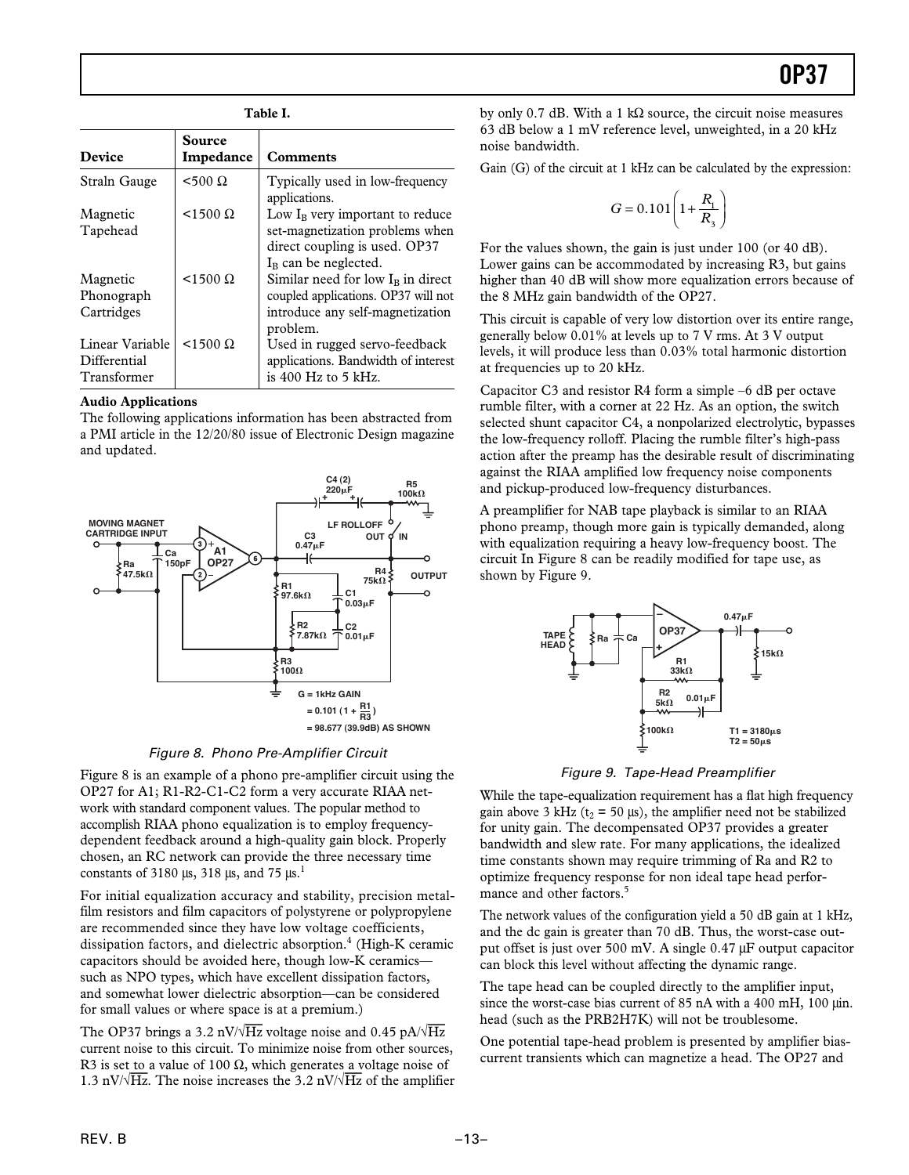#### **Table I.**

|                                                | Source            |                                                                                                                                            |
|------------------------------------------------|-------------------|--------------------------------------------------------------------------------------------------------------------------------------------|
| <b>Device</b>                                  | Impedance         | <b>Comments</b>                                                                                                                            |
| Straln Gauge                                   | $<$ 500 $\Omega$  | Typically used in low-frequency<br>applications.                                                                                           |
| Magnetic<br>Tapehead                           | $<$ 1500 $\Omega$ | Low I <sub>B</sub> very important to reduce<br>set-magnetization problems when<br>direct coupling is used. OP37<br>$I_B$ can be neglected. |
| Magnetic<br>Phonograph<br>Cartridges           | $<$ 1500 $\Omega$ | Similar need for low $IB$ in direct<br>coupled applications. OP37 will not<br>introduce any self-magnetization<br>problem.                 |
| Linear Variable<br>Differential<br>Transformer | $<$ 1500 $\Omega$ | Used in rugged servo-feedback<br>applications. Bandwidth of interest<br>is $400$ Hz to 5 kHz.                                              |

#### **Audio Applications**

The following applications information has been abstracted from a PMI article in the 12/20/80 issue of Electronic Design magazine and updated.



#### Figure 8. Phono Pre-Amplifier Circuit

Figure 8 is an example of a phono pre-amplifier circuit using the OP27 for A1; R1-R2-C1-C2 form a very accurate RIAA network with standard component values. The popular method to accomplish RIAA phono equalization is to employ frequencydependent feedback around a high-quality gain block. Properly chosen, an RC network can provide the three necessary time constants of 3180  $\mu$ s, 318  $\mu$ s, and 75  $\mu$ s.<sup>1</sup>

For initial equalization accuracy and stability, precision metalfilm resistors and film capacitors of polystyrene or polypropylene are recommended since they have low voltage coefficients, dissipation factors, and dielectric absorption. $4$  (High-K ceramic capacitors should be avoided here, though low-K ceramics such as NPO types, which have excellent dissipation factors, and somewhat lower dielectric absorption—can be considered for small values or where space is at a premium.)

The OP37 brings a 3.2 nV/ $\sqrt{Hz}$  voltage noise and 0.45 pA/ $\sqrt{Hz}$ current noise to this circuit. To minimize noise from other sources, R3 is set to a value of 100  $\Omega$ , which generates a voltage noise of 1.3 nV/ $\sqrt{Hz}$ . The noise increases the 3.2 nV/ $\sqrt{Hz}$  of the amplifier

by only 0.7 dB. With a 1 k $\Omega$  source, the circuit noise measures 63 dB below a 1 mV reference level, unweighted, in a 20 kHz noise bandwidth.

Gain (G) of the circuit at 1 kHz can be calculated by the expression:

$$
G = 0.101 \left( 1 + \frac{R_1}{R_3} \right)
$$

For the values shown, the gain is just under 100 (or 40 dB). Lower gains can be accommodated by increasing R3, but gains higher than 40 dB will show more equalization errors because of the 8 MHz gain bandwidth of the OP27.

This circuit is capable of very low distortion over its entire range, generally below 0.01% at levels up to 7 V rms. At 3 V output levels, it will produce less than 0.03% total harmonic distortion at frequencies up to 20 kHz.

Capacitor C3 and resistor R4 form a simple –6 dB per octave rumble filter, with a corner at 22 Hz. As an option, the switch selected shunt capacitor C4, a nonpolarized electrolytic, bypasses the low-frequency rolloff. Placing the rumble filter's high-pass action after the preamp has the desirable result of discriminating against the RIAA amplified low frequency noise components and pickup-produced low-frequency disturbances.

A preamplifier for NAB tape playback is similar to an RIAA phono preamp, though more gain is typically demanded, along with equalization requiring a heavy low-frequency boost. The circuit In Figure 8 can be readily modified for tape use, as shown by Figure 9.



#### Figure 9. Tape-Head Preamplifier

While the tape-equalization requirement has a flat high frequency gain above 3 kHz ( $t_2$  = 50  $\mu$ s), the amplifier need not be stabilized for unity gain. The decompensated OP37 provides a greater bandwidth and slew rate. For many applications, the idealized time constants shown may require trimming of Ra and R2 to optimize frequency response for non ideal tape head performance and other factors.<sup>5</sup>

The network values of the configuration yield a 50 dB gain at 1 kHz, and the dc gain is greater than 70 dB. Thus, the worst-case output offset is just over 500 mV. A single 0.47 µF output capacitor can block this level without affecting the dynamic range.

The tape head can be coupled directly to the amplifier input, since the worst-case bias current of 85 nA with a 400 mH, 100  $\mu$ in. head (such as the PRB2H7K) will not be troublesome.

One potential tape-head problem is presented by amplifier biascurrent transients which can magnetize a head. The OP27 and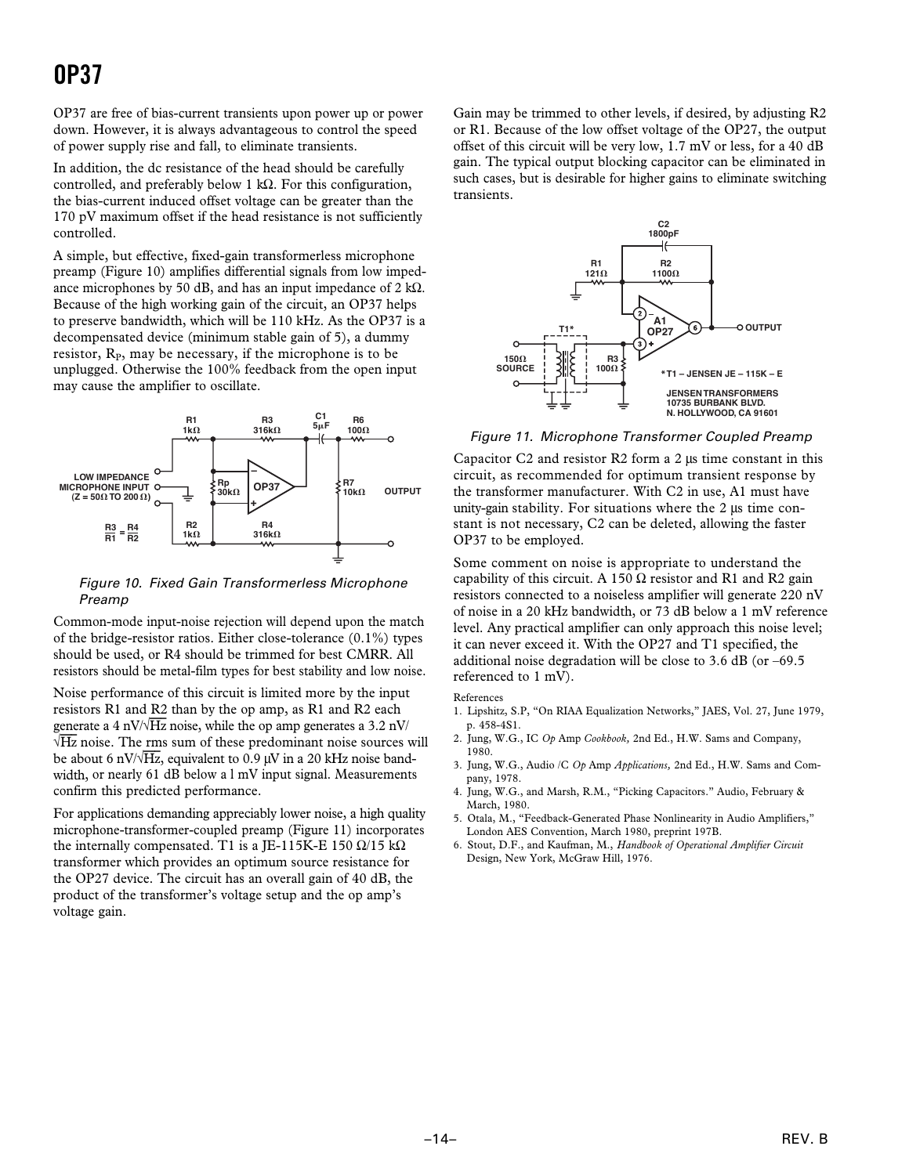OP37 are free of bias-current transients upon power up or power down. However, it is always advantageous to control the speed of power supply rise and fall, to eliminate transients.

In addition, the dc resistance of the head should be carefully controlled, and preferably below 1 kQ. For this configuration, the bias-current induced offset voltage can be greater than the 170 pV maximum offset if the head resistance is not sufficiently controlled.

A simple, but effective, fixed-gain transformerless microphone preamp (Figure 10) amplifies differential signals from low impedance microphones by 50 dB, and has an input impedance of 2 k $\Omega$ . Because of the high working gain of the circuit, an OP37 helps to preserve bandwidth, which will be 110 kHz. As the OP37 is a decompensated device (minimum stable gain of 5), a dummy resistor,  $R<sub>P</sub>$ , may be necessary, if the microphone is to be unplugged. Otherwise the 100% feedback from the open input may cause the amplifier to oscillate.



Figure 10. Fixed Gain Transformerless Microphone Preamp

Common-mode input-noise rejection will depend upon the match of the bridge-resistor ratios. Either close-tolerance  $(0.1\%)$  types should be used, or R4 should be trimmed for best CMRR. All resistors should be metal-film types for best stability and low noise.

Noise performance of this circuit is limited more by the input resistors R1 and R2 than by the op amp, as R1 and R2 each generate a 4 nV $\sqrt{Hz}$  noise, while the op amp generates a 3.2 nV/  $\sqrt{Hz}$  noise. The rms sum of these predominant noise sources will be about 6 nV/ $\sqrt{Hz}$ , equivalent to 0.9 µV in a 20 kHz noise bandwidth, or nearly 61 dB below a l mV input signal. Measurements confirm this predicted performance.

For applications demanding appreciably lower noise, a high quality microphone-transformer-coupled preamp (Figure 11) incorporates the internally compensated. T1 is a JE-115K-E 150  $\Omega/15$  k $\Omega$ transformer which provides an optimum source resistance for the OP27 device. The circuit has an overall gain of 40 dB, the product of the transformer's voltage setup and the op amp's voltage gain.

Gain may be trimmed to other levels, if desired, by adjusting R2 or R1. Because of the low offset voltage of the OP27, the output offset of this circuit will be very low, 1.7 mV or less, for a 40 dB gain. The typical output blocking capacitor can be eliminated in such cases, but is desirable for higher gains to eliminate switching transients.



Figure 11. Microphone Transformer Coupled Preamp

Capacitor  $C_2$  and resistor R2 form a 2  $\mu$ s time constant in this circuit, as recommended for optimum transient response by the transformer manufacturer. With C2 in use, A1 must have unity-gain stability. For situations where the  $2 \mu s$  time constant is not necessary, C2 can be deleted, allowing the faster OP37 to be employed.

Some comment on noise is appropriate to understand the capability of this circuit. A 150  $\Omega$  resistor and R1 and R2 gain resistors connected to a noiseless amplifier will generate 220 nV of noise in a 20 kHz bandwidth, or 73 dB below a 1 mV reference level. Any practical amplifier can only approach this noise level; it can never exceed it. With the OP27 and T1 specified, the additional noise degradation will be close to 3.6 dB (or –69.5 referenced to 1 mV).

References

- 1. Lipshitz, S.P, "On RIAA Equalization Networks," JAES, Vol. 27, June 1979, p. 458-4S1.
- 2. Jung, W.G., IC *Op* Amp *Cookbook,* 2nd Ed., H.W. Sams and Company, 1980.
- 3. Jung, W.G., Audio /C *Op* Amp *Applications,* 2nd Ed., H.W. Sams and Company, 1978.
- 4. Jung, W.G., and Marsh, R.M., "Picking Capacitors." Audio, February & March, 1980.
- 5. Otala, M., "Feedback-Generated Phase Nonlinearity in Audio Amplifiers," London AES Convention, March 1980, preprint 197B.
- 6. Stout, D.F., and Kaufman, M., *Handbook of Operational Amplifier Circuit* Design, New York, McGraw Hill, 1976.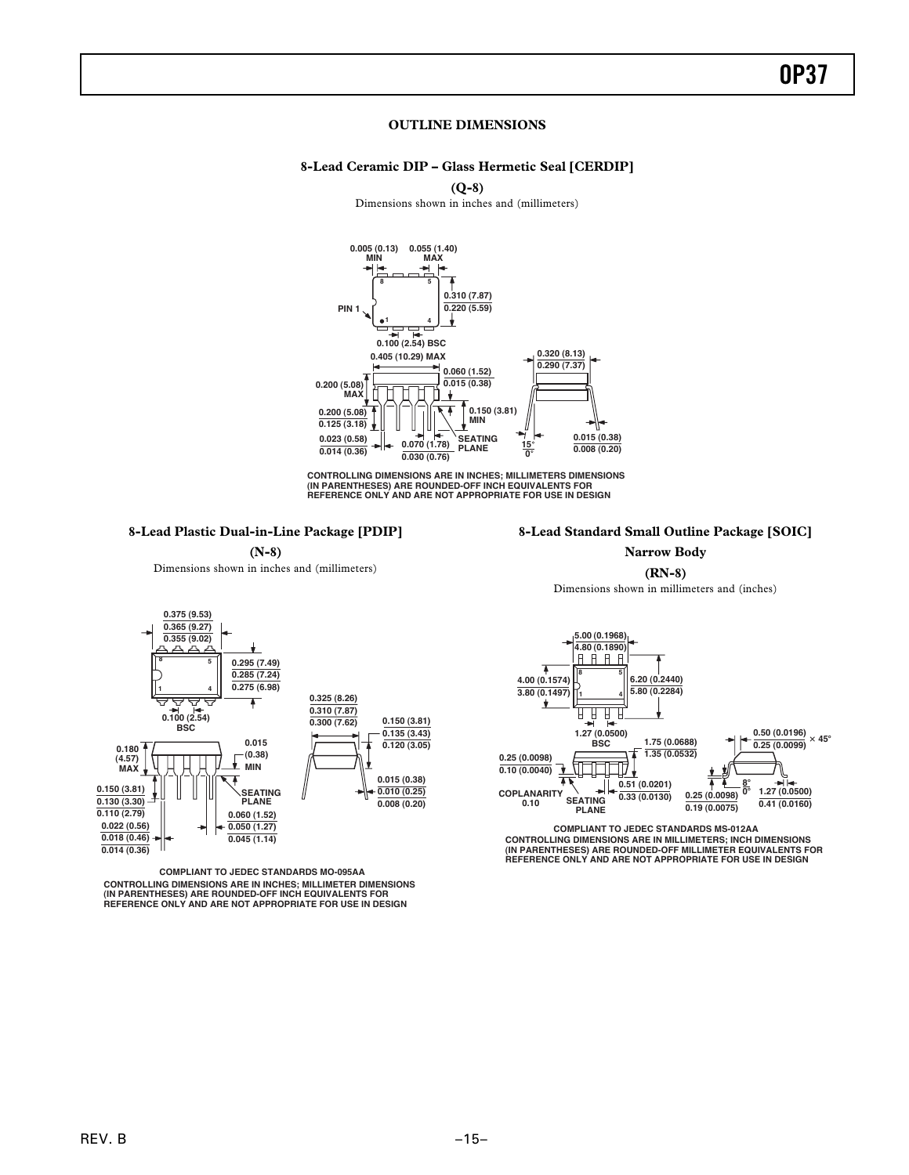#### **OUTLINE DIMENSIONS**

#### **8-Lead Ceramic DIP – Glass Hermetic Seal [CERDIP]**

**(Q-8)** Dimensions shown in inches and (millimeters)



CONTROLLING DIMENSIONS ARE IN INCHES; MILLIMETERS DIMENSIONS<br>(IN PARENTHESES) ARE ROUNDED-OFF INCH EQUIVALENTS FOR<br>REFERENCE ONLY AND ARE NOT APPROPRIATE FOR USE IN DESIGN

#### **8-Lead Plastic Dual-in-Line Package [PDIP]**

#### **8-Lead Standard Small Outline Package [SOIC] Narrow Body**

**(RN-8)**



**THEFT! 0.10 (0.0040) 0.51 (0.0201)** Ŧ **8**- **0**- **COPLANARITY**<br> **COPLANARITY SEATING**<br> **0.33 (0.0130) 1.27 (0.0500) 0.25 (0.0098) SEATING 0.41 (0.0160) 0.19 (0.0075) PLANE**

**CONTROLLING DIMENSIONS ARE IN MILLIMETERS; INCH DIMENSIONS (IN PARENTHESES) ARE ROUNDED-OFF MILLIMETER EQUIVALENTS FOR REFERENCE ONLY AND ARE NOT APPROPRIATE FOR USE IN DESIGN COMPLIANT TO JEDEC STANDARDS MS-012AA**

**(N-8)** Dimensions shown in inches and (millimeters)



**CONTROLLING DIMENSIONS ARE IN INCHES; MILLIMETER DIMENSIONS (IN PARENTHESES) ARE ROUNDED-OFF INCH EQUIVALENTS FOR REFERENCE ONLY AND ARE NOT APPROPRIATE FOR USE IN DESIGN COMPLIANT TO JEDEC STANDARDS MO-095AA**